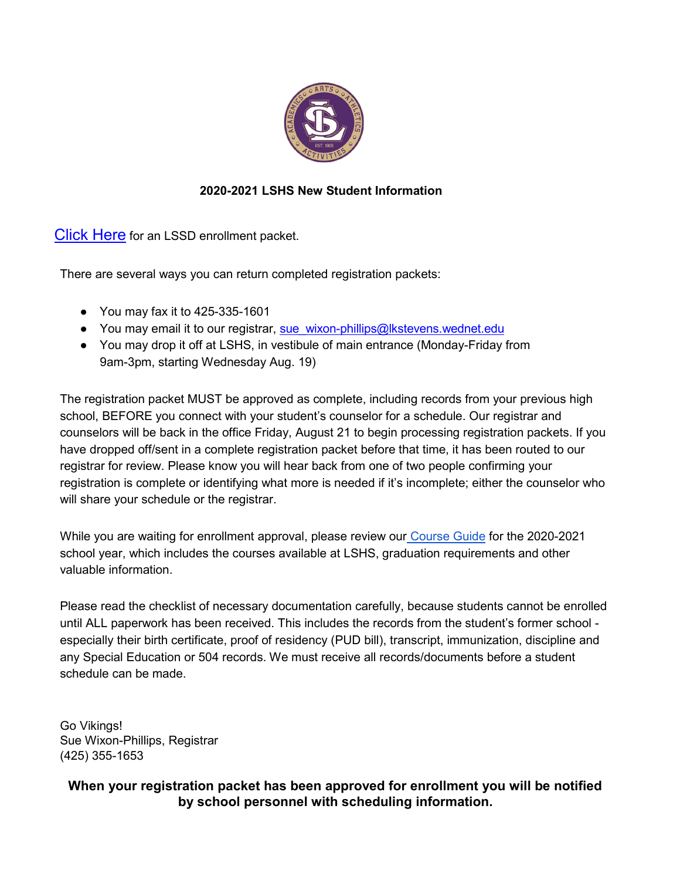

## **2020-2021 LSHS New Student Information**

**[Click Here](https://www.lkstevens.wednet.edu/Domain/44)** for an LSSD enrollment packet.

There are several ways you can return completed registration packets:

- You may fax it to 425-335-1601
- You may email it to our registrar, [sue\\_wixon-phillips@lkstevens.wednet.edu](mailto:sue_wixon-phillips@lkstevens.wednet.edu)
- You may drop it off at LSHS, in vestibule of main entrance (Monday-Friday from 9am-3pm, starting Wednesday Aug. 19)

The registration packet MUST be approved as complete, including records from your previous high school, BEFORE you connect with your student's counselor for a schedule. Our registrar and counselors will be back in the office Friday, August 21 to begin processing registration packets. If you have dropped off/sent in a complete registration packet before that time, it has been routed to our registrar for review. Please know you will hear back from one of two people confirming your registration is complete or identifying what more is needed if it's incomplete; either the counselor who will share your schedule or the registrar.

While you are waiting for enrollment approval, please review our [Course Guide](https://www.lkstevens.wednet.edu/cms/lib/WA01001468/Centricity/Domain/788/LSHS%20Planning%20Guide%202020%202021.pdf) for the 2020-2021 school year, which includes the courses available at LSHS, graduation requirements and other valuable information.

Please read the checklist of necessary documentation carefully, because students cannot be enrolled until ALL paperwork has been received. This includes the records from the student's former school especially their birth certificate, proof of residency (PUD bill), transcript, immunization, discipline and any Special Education or 504 records. We must receive all records/documents before a student schedule can be made.

Go Vikings! Sue Wixon-Phillips, Registrar (425) 355-1653

## **When your registration packet has been approved for enrollment you will be notified by school personnel with scheduling information.**